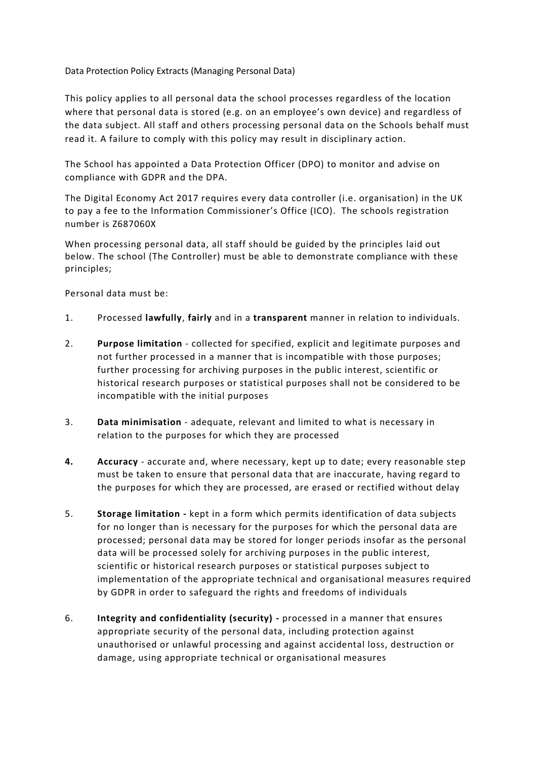Data Protection Policy Extracts (Managing Personal Data)

This policy applies to all personal data the school processes regardless of the location where that personal data is stored (e.g. on an employee's own device) and regardless of the data subject. All staff and others processing personal data on the Schools behalf must read it. A failure to comply with this policy may result in disciplinary action.

The School has appointed a Data Protection Officer (DPO) to monitor and advise on compliance with GDPR and the DPA.

The Digital Economy Act 2017 requires every data controller (i.e. organisation) in the UK to pay a fee to the Information Commissioner's Office (ICO). The schools registration number is Z687060X

When processing personal data, all staff should be guided by the principles laid out below. The school (The Controller) must be able to demonstrate compliance with these principles;

Personal data must be:

- 1. Processed **lawfully**, **fairly** and in a **transparent** manner in relation to individuals.
- 2. **Purpose limitation** collected for specified, explicit and legitimate purposes and not further processed in a manner that is incompatible with those purposes; further processing for archiving purposes in the public interest, scientific or historical research purposes or statistical purposes shall not be considered to be incompatible with the initial purposes
- 3. **Data minimisation**  adequate, relevant and limited to what is necessary in relation to the purposes for which they are processed
- **4. Accuracy**  accurate and, where necessary, kept up to date; every reasonable step must be taken to ensure that personal data that are inaccurate, having regard to the purposes for which they are processed, are erased or rectified without delay
- 5. **Storage limitation -** kept in a form which permits identification of data subjects for no longer than is necessary for the purposes for which the personal data are processed; personal data may be stored for longer periods insofar as the personal data will be processed solely for archiving purposes in the public interest, scientific or historical research purposes or statistical purposes subject to implementation of the appropriate technical and organisational measures required by GDPR in order to safeguard the rights and freedoms of individuals
- 6. **Integrity and confidentiality (security) -** processed in a manner that ensures appropriate security of the personal data, including protection against unauthorised or unlawful processing and against accidental loss, destruction or damage, using appropriate technical or organisational measures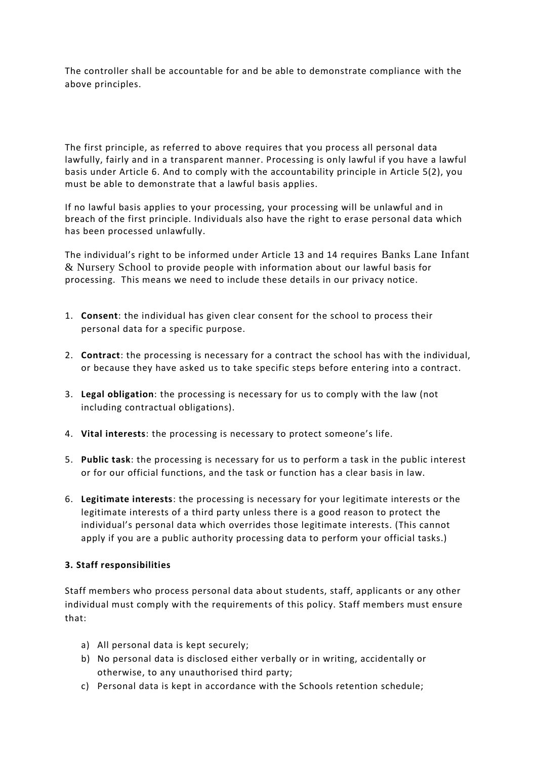The controller shall be accountable for and be able to demonstrate compliance with the above principles.

The first principle, as referred to above requires that you process all personal data lawfully, fairly and in a transparent manner. Processing is only lawful if you have a lawful basis under Article 6. And to comply with the accountability principle in Article 5(2), you must be able to demonstrate that a lawful basis applies.

If no lawful basis applies to your processing, your processing will be unlawful and in breach of the first principle. Individuals also have the right to erase personal data which has been processed unlawfully.

The individual's right to be informed under Article 13 and 14 requires Banks Lane Infant & Nursery School to provide people with information about our lawful basis for processing. This means we need to include these details in our privacy notice.

- 1. **Consent**: the individual has given clear consent for the school to process their personal data for a specific purpose.
- 2. **Contract**: the processing is necessary for a contract the school has with the individual, or because they have asked us to take specific steps before entering into a contract.
- 3. **Legal obligation**: the processing is necessary for us to comply with the law (not including contractual obligations).
- 4. **Vital interests**: the processing is necessary to protect someone's life.
- 5. **Public task**: the processing is necessary for us to perform a task in the public interest or for our official functions, and the task or function has a clear basis in law.
- 6. **Legitimate interests**: the processing is necessary for your legitimate interests or the legitimate interests of a third party unless there is a good reason to protect the individual's personal data which overrides those legitimate interests. (This cannot apply if you are a public authority processing data to perform your official tasks.)

## **3. Staff responsibilities**

Staff members who process personal data about students, staff, applicants or any other individual must comply with the requirements of this policy. Staff members must ensure that:

- a) All personal data is kept securely;
- b) No personal data is disclosed either verbally or in writing, accidentally or otherwise, to any unauthorised third party;
- c) Personal data is kept in accordance with the Schools retention schedule;